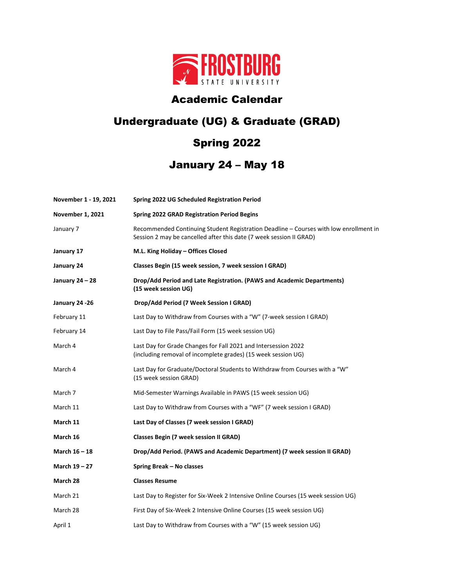

## Academic Calendar

## Undergraduate (UG) & Graduate (GRAD)

## Spring 2022

## January 24 – May 18

| November 1 - 19, 2021   | Spring 2022 UG Scheduled Registration Period                                                                                                                 |
|-------------------------|--------------------------------------------------------------------------------------------------------------------------------------------------------------|
| <b>November 1, 2021</b> | <b>Spring 2022 GRAD Registration Period Begins</b>                                                                                                           |
| January 7               | Recommended Continuing Student Registration Deadline - Courses with low enrollment in<br>Session 2 may be cancelled after this date (7 week session II GRAD) |
| January 17              | M.L. King Holiday - Offices Closed                                                                                                                           |
| January 24              | Classes Begin (15 week session, 7 week session I GRAD)                                                                                                       |
| January 24 – 28         | Drop/Add Period and Late Registration. (PAWS and Academic Departments)<br>(15 week session UG)                                                               |
| January 24 -26          | Drop/Add Period (7 Week Session I GRAD)                                                                                                                      |
| February 11             | Last Day to Withdraw from Courses with a "W" (7-week session I GRAD)                                                                                         |
| February 14             | Last Day to File Pass/Fail Form (15 week session UG)                                                                                                         |
| March 4                 | Last Day for Grade Changes for Fall 2021 and Intersession 2022<br>(including removal of incomplete grades) (15 week session UG)                              |
| March 4                 | Last Day for Graduate/Doctoral Students to Withdraw from Courses with a "W"<br>(15 week session GRAD)                                                        |
| March 7                 | Mid-Semester Warnings Available in PAWS (15 week session UG)                                                                                                 |
| March 11                | Last Day to Withdraw from Courses with a "WF" (7 week session I GRAD)                                                                                        |
| March 11                | Last Day of Classes (7 week session I GRAD)                                                                                                                  |
| March 16                | <b>Classes Begin (7 week session II GRAD)</b>                                                                                                                |
| March 16 - 18           | Drop/Add Period. (PAWS and Academic Department) (7 week session II GRAD)                                                                                     |
| March 19 - 27           | Spring Break - No classes                                                                                                                                    |
| March 28                | <b>Classes Resume</b>                                                                                                                                        |
| March 21                | Last Day to Register for Six-Week 2 Intensive Online Courses (15 week session UG)                                                                            |
| March 28                | First Day of Six-Week 2 Intensive Online Courses (15 week session UG)                                                                                        |
| April 1                 | Last Day to Withdraw from Courses with a "W" (15 week session UG)                                                                                            |